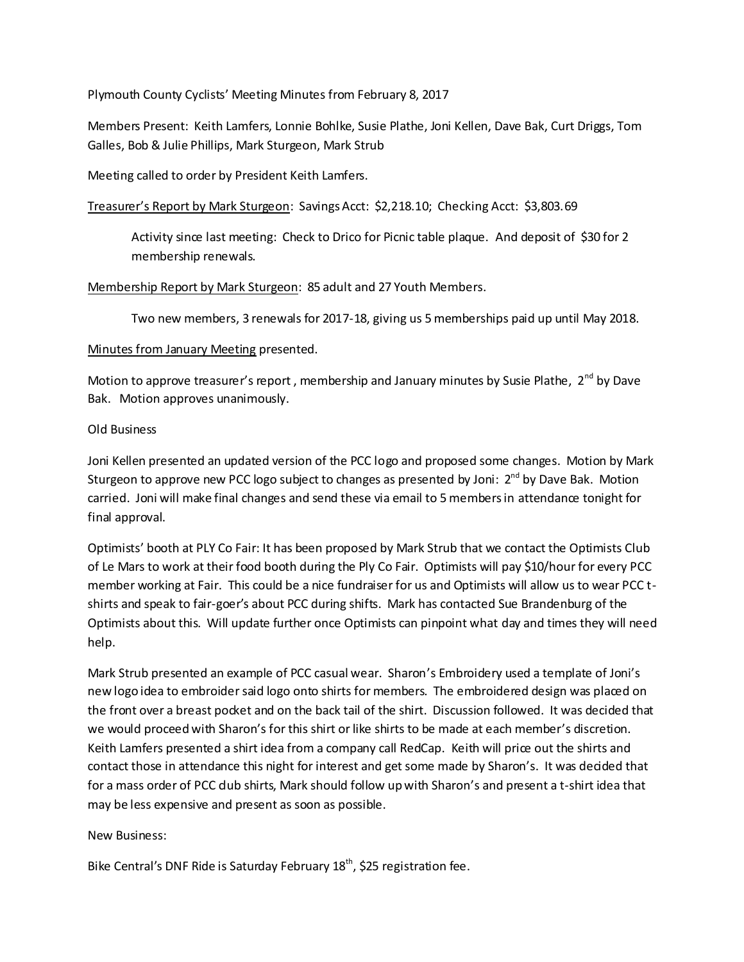Plymouth County Cyclists' Meeting Minutes from February 8, 2017

Members Present: Keith Lamfers, Lonnie Bohlke, Susie Plathe, Joni Kellen, Dave Bak, Curt Driggs, Tom Galles, Bob & Julie Phillips, Mark Sturgeon, Mark Strub

Meeting called to order by President Keith Lamfers.

Treasurer's Report by Mark Sturgeon: Savings Acct: \$2,218.10; Checking Acct: \$3,803.69

Activity since last meeting: Check to Drico for Picnic table plaque. And deposit of \$30 for 2 membership renewals.

Membership Report by Mark Sturgeon: 85 adult and 27 Youth Members.

Two new members, 3 renewals for 2017-18, giving us 5 memberships paid up until May 2018.

## Minutes from January Meeting presented.

Motion to approve treasurer's report, membership and January minutes by Susie Plathe,  $2^{nd}$  by Dave Bak. Motion approves unanimously.

## Old Business

Joni Kellen presented an updated version of the PCC logo and proposed some changes. Motion by Mark Sturgeon to approve new PCC logo subject to changes as presented by Joni: 2<sup>nd</sup> by Dave Bak. Motion carried. Joni will make final changes and send these via email to 5 members in attendance tonight for final approval.

Optimists' booth at PLY Co Fair: It has been proposed by Mark Strub that we contact the Optimists Club of Le Mars to work at their food booth during the Ply Co Fair. Optimists will pay \$10/hour for every PCC member working at Fair. This could be a nice fundraiser for us and Optimists will allow us to wear PCC tshirts and speak to fair-goer's about PCC during shifts. Mark has contacted Sue Brandenburg of the Optimists about this. Will update further once Optimists can pinpoint what day and times they will need help.

Mark Strub presented an example of PCC casual wear. Sharon's Embroidery used a template of Joni's new logo idea to embroider said logo onto shirts for members. The embroidered design was placed on the front over a breast pocket and on the back tail of the shirt. Discussion followed. It was decided that we would proceed with Sharon's for this shirt or like shirts to be made at each member's discretion. Keith Lamfers presented a shirt idea from a company call RedCap. Keith will price out the shirts and contact those in attendance this night for interest and get some made by Sharon's. It was decided that for a mass order of PCC dub shirts, Mark should follow up with Sharon's and present a t-shirt idea that may be less expensive and present as soon as possible.

## New Business:

Bike Central's DNF Ride is Saturday February 18<sup>th</sup>, \$25 registration fee.